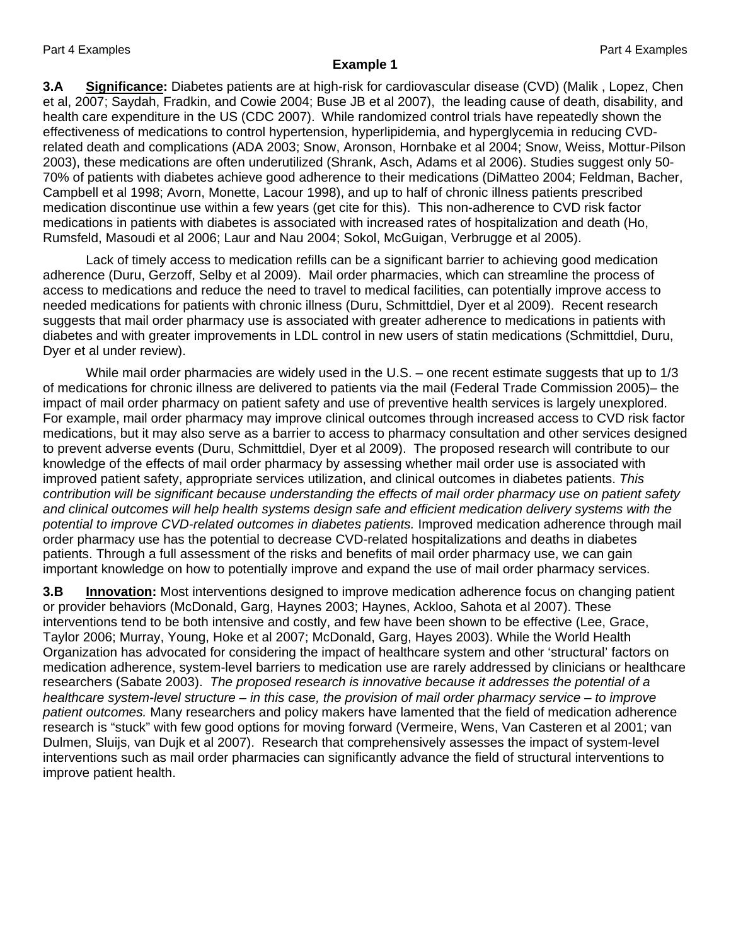## **Example 1**

**3.A Significance:** Diabetes patients are at high-risk for cardiovascular disease (CVD) (Malik , Lopez, Chen et al, 2007; Saydah, Fradkin, and Cowie 2004; Buse JB et al 2007), the leading cause of death, disability, and health care expenditure in the US (CDC 2007). While randomized control trials have repeatedly shown the effectiveness of medications to control hypertension, hyperlipidemia, and hyperglycemia in reducing CVDrelated death and complications (ADA 2003; Snow, Aronson, Hornbake et al 2004; Snow, Weiss, Mottur-Pilson 2003), these medications are often underutilized (Shrank, Asch, Adams et al 2006). Studies suggest only 50- 70% of patients with diabetes achieve good adherence to their medications (DiMatteo 2004; Feldman, Bacher, Campbell et al 1998; Avorn, Monette, Lacour 1998), and up to half of chronic illness patients prescribed medication discontinue use within a few years (get cite for this). This non-adherence to CVD risk factor medications in patients with diabetes is associated with increased rates of hospitalization and death (Ho, Rumsfeld, Masoudi et al 2006; Laur and Nau 2004; Sokol, McGuigan, Verbrugge et al 2005).

Lack of timely access to medication refills can be a significant barrier to achieving good medication adherence (Duru, Gerzoff, Selby et al 2009). Mail order pharmacies, which can streamline the process of access to medications and reduce the need to travel to medical facilities, can potentially improve access to needed medications for patients with chronic illness (Duru, Schmittdiel, Dyer et al 2009). Recent research suggests that mail order pharmacy use is associated with greater adherence to medications in patients with diabetes and with greater improvements in LDL control in new users of statin medications (Schmittdiel, Duru, Dyer et al under review).

While mail order pharmacies are widely used in the U.S. – one recent estimate suggests that up to 1/3 of medications for chronic illness are delivered to patients via the mail (Federal Trade Commission 2005)– the impact of mail order pharmacy on patient safety and use of preventive health services is largely unexplored. For example, mail order pharmacy may improve clinical outcomes through increased access to CVD risk factor medications, but it may also serve as a barrier to access to pharmacy consultation and other services designed to prevent adverse events (Duru, Schmittdiel, Dyer et al 2009). The proposed research will contribute to our knowledge of the effects of mail order pharmacy by assessing whether mail order use is associated with improved patient safety, appropriate services utilization, and clinical outcomes in diabetes patients. *This contribution will be significant because understanding the effects of mail order pharmacy use on patient safety and clinical outcomes will help health systems design safe and efficient medication delivery systems with the potential to improve CVD-related outcomes in diabetes patients.* Improved medication adherence through mail order pharmacy use has the potential to decrease CVD-related hospitalizations and deaths in diabetes patients. Through a full assessment of the risks and benefits of mail order pharmacy use, we can gain important knowledge on how to potentially improve and expand the use of mail order pharmacy services.

**3.B Innovation:** Most interventions designed to improve medication adherence focus on changing patient or provider behaviors (McDonald, Garg, Haynes 2003; Haynes, Ackloo, Sahota et al 2007). These interventions tend to be both intensive and costly, and few have been shown to be effective (Lee, Grace, Taylor 2006; Murray, Young, Hoke et al 2007; McDonald, Garg, Hayes 2003). While the World Health Organization has advocated for considering the impact of healthcare system and other 'structural' factors on medication adherence, system-level barriers to medication use are rarely addressed by clinicians or healthcare researchers (Sabate 2003). *The proposed research is innovative because it addresses the potential of a healthcare system-level structure – in this case, the provision of mail order pharmacy service – to improve patient outcomes.* Many researchers and policy makers have lamented that the field of medication adherence research is "stuck" with few good options for moving forward (Vermeire, Wens, Van Casteren et al 2001; van Dulmen, Sluijs, van Dujk et al 2007). Research that comprehensively assesses the impact of system-level interventions such as mail order pharmacies can significantly advance the field of structural interventions to improve patient health.